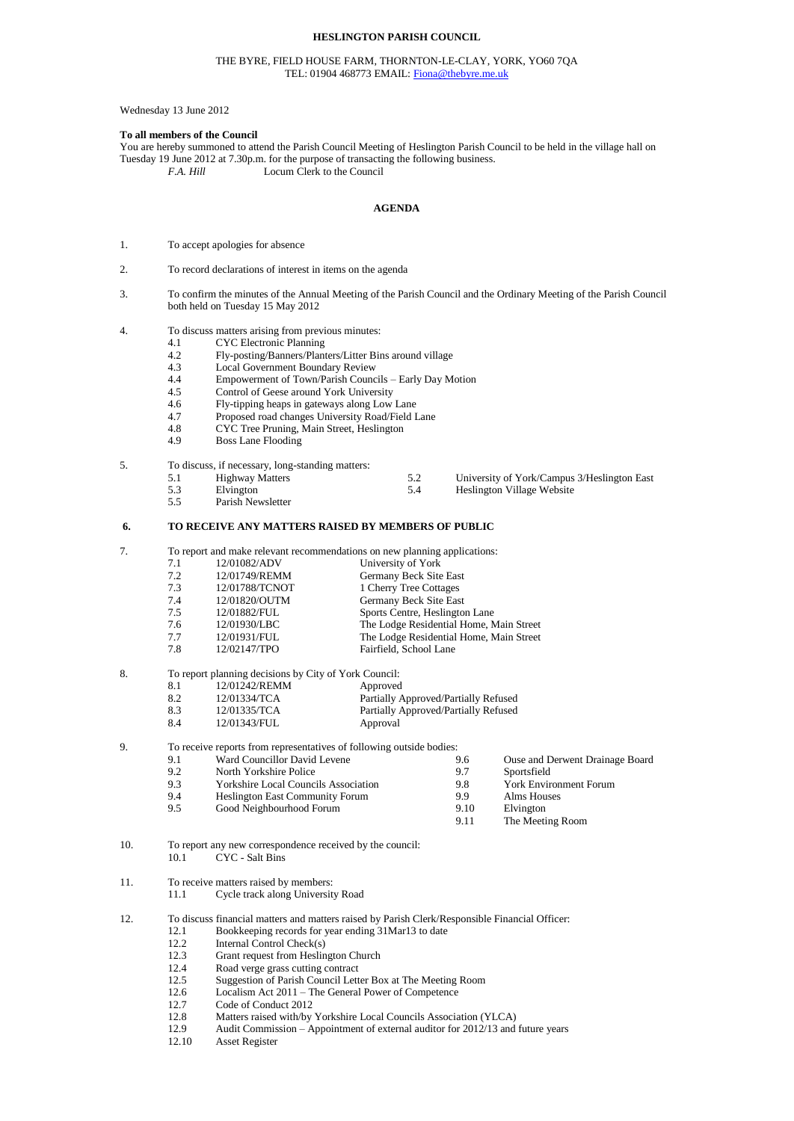# **HESLINGTON PARISH COUNCIL**

### THE BYRE, FIELD HOUSE FARM, THORNTON-LE-CLAY, YORK, YO60 7QA TEL: 01904 468773 EMAIL[: Fiona@thebyre.me.uk](mailto:Fiona@thebyre.me.uk)

# Wednesday 13 June 2012

### **To all members of the Council**

You are hereby summoned to attend the Parish Council Meeting of Heslington Parish Council to be held in the village hall on Tuesday 19 June 2012 at 7.30p.m. for the purpose of transacting the following business.<br>F.A. Hill Locum Clerk to the Council Locum Clerk to the Council

#### **AGENDA**

- 1. To accept apologies for absence
- 2. To record declarations of interest in items on the agenda
- 3. To confirm the minutes of the Annual Meeting of the Parish Council and the Ordinary Meeting of the Parish Council both held on Tuesday 15 May 2012

# 4. To discuss matters arising from previous minutes:<br>4.1 CYC Electronic Planning

- 4.1 CYC Electronic Planning<br>4.2 Fly-posting/Banners/Plan
	- 4.2 Fly-posting/Banners/Planters/Litter Bins around village
- 4.3 Local Government Boundary Review
- 4.4 Empowerment of Town/Parish Councils Early Day Motion<br>4.5 Control of Geese around York University
- 4.5 Control of Geese around York University<br>4.6 Fly-tipping heaps in gateways along Low
- 4.6 Fly-tipping heaps in gateways along Low Lane
- 4.7 Proposed road changes University Road/Field Lane<br>4.8 CYC Tree Pruning. Main Street. Heslington
- 4.8 CYC Tree Pruning, Main Street, Heslington<br>4.9 Boss Lane Flooding
- Boss Lane Flooding

### 5. To discuss, if necessary, long-standing matters:

| 5.1 | <b>Highway Matters</b> | University of York/Campus 3/Heslington East |
|-----|------------------------|---------------------------------------------|
| 5.3 | Elvington              | Heslington Village Website                  |

5.5 Parish Newsletter

### **6. TO RECEIVE ANY MATTERS RAISED BY MEMBERS OF PUBLIC**

7. To report and make relevant recommendations on new planning applications:

| 7.1 | 12/01082/ADV   |                                         |
|-----|----------------|-----------------------------------------|
|     |                | University of York                      |
| 7.2 | 12/01749/REMM  | Germany Beck Site East                  |
| 7.3 | 12/01788/TCNOT | 1 Cherry Tree Cottages                  |
| 7.4 | 12/01820/OUTM  | Germany Beck Site East                  |
| 7.5 | 12/01882/FUL   | Sports Centre, Heslington Lane          |
| 7.6 | 12/01930/LBC   | The Lodge Residential Home, Main Street |
| 7.7 | 12/01931/FUL   | The Lodge Residential Home, Main Street |
| 7.8 | 12/02147/TPO   | Fairfield, School Lane                  |
|     |                |                                         |

# 8. To report planning decisions by City of York Council:

| 8.1 | 12/01242/REMM | Approved                             |
|-----|---------------|--------------------------------------|
| 8.2 | 12/01334/TCA  | Partially Approved/Partially Refused |
| 8.3 | 12/01335/TCA  | Partially Approved/Partially Refused |
| 8.4 | 12/01343/FUL  | Approval                             |

9. To receive reports from representatives of following outside bodies:

|     | To receive reports from representatives of following outside bodies: |      |                                 |
|-----|----------------------------------------------------------------------|------|---------------------------------|
| 9.1 | Ward Councillor David Levene                                         | 9.6  | Ouse and Derwent Drainage Board |
| 9.2 | North Yorkshire Police                                               | 9.7  | Sportsfield                     |
| 9.3 | <b>Yorkshire Local Councils Association</b>                          | 9.8  | <b>York Environment Forum</b>   |
| 9.4 | <b>Heslington East Community Forum</b>                               | 9.9  | Alms Houses                     |
| 9.5 | Good Neighbourhood Forum                                             | 9.10 | Elvington                       |
|     |                                                                      | 9.11 | The Meeting Room                |
|     |                                                                      |      |                                 |

### 10. To report any new correspondence received by the council: 10.1 CYC - Salt Bins

11. To receive matters raised by members:

- 11.1 Cycle track along University Road
- 12. To discuss financial matters and matters raised by Parish Clerk/Responsible Financial Officer:<br>12.1 Bookkeeping records for year ending 31Mar13 to date 12.1 Bookkeeping records for year ending 31Mar13 to date
	- 12.2 Internal Control Check(s)
	-
	- 12.3 Grant request from Heslington Church<br>12.4 Road verge grass cutting contract
	- 12.4 Road verge grass cutting contract<br>12.5 Suggestion of Parish Council Lett Suggestion of Parish Council Letter Box at The Meeting Room
	- 12.6 Localism Act 2011 The General Power of Competence
	-
	- 12.7 Code of Conduct 2012<br>12.8 Matters raised with/by Matters raised with/by Yorkshire Local Councils Association (YLCA)
	- 12.9 Audit Commission Appointment of external auditor for 2012/13 and future years
	- 12.10 Asset Register